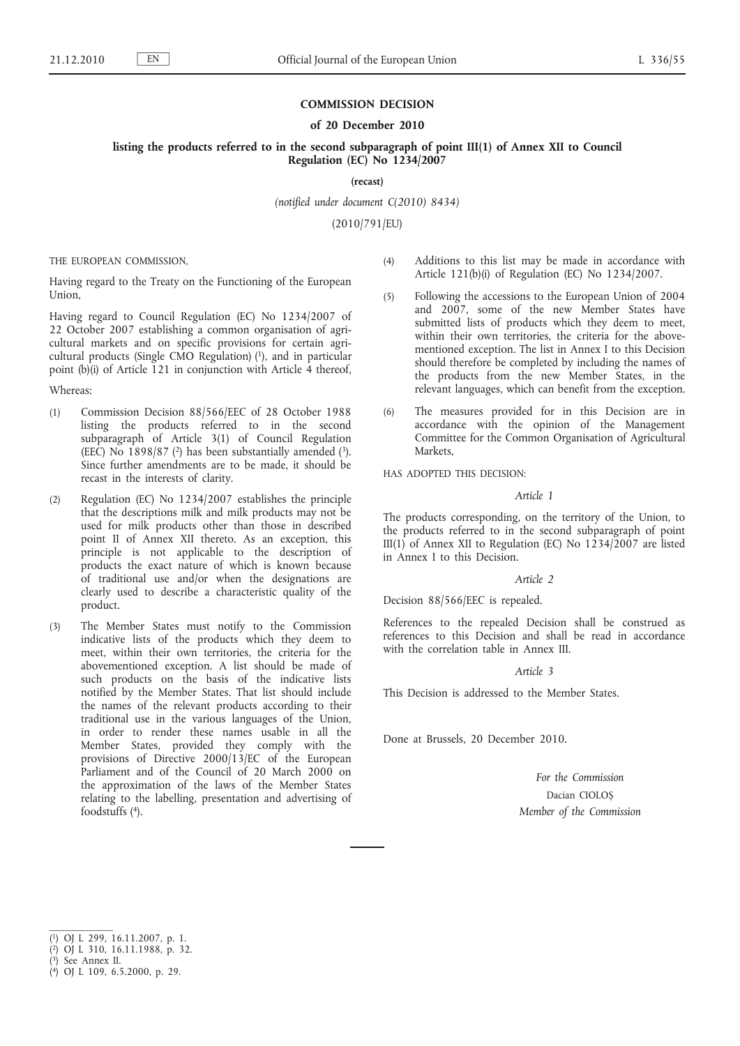## **COMMISSION DECISION**

#### **of 20 December 2010**

**listing the products referred to in the second subparagraph of point III(1) of Annex XII to Council Regulation (EC) No 1234/2007**

**(recast)**

*(notified under document C(2010) 8434)*

(2010/791/EU)

THE EUROPEAN COMMISSION,

Having regard to the Treaty on the Functioning of the European Union,

Having regard to Council Regulation (EC) No 1234/2007 of 22 October 2007 establishing a common organisation of agricultural markets and on specific provisions for certain agricultural products (Single CMO Regulation) (1), and in particular point (b)(i) of Article 121 in conjunction with Article 4 thereof,

### Whereas:

- (1) Commission Decision 88/566/EEC of 28 October 1988 listing the products referred to in the second subparagraph of Article 3(1) of Council Regulation (EEC) No  $1898/87$  (<sup>2</sup>) has been substantially amended (<sup>3</sup>). Since further amendments are to be made, it should be recast in the interests of clarity.
- (2) Regulation (EC) No 1234/2007 establishes the principle that the descriptions milk and milk products may not be used for milk products other than those in described point II of Annex XII thereto. As an exception, this principle is not applicable to the description of products the exact nature of which is known because of traditional use and/or when the designations are clearly used to describe a characteristic quality of the product.
- (3) The Member States must notify to the Commission indicative lists of the products which they deem to meet, within their own territories, the criteria for the abovementioned exception. A list should be made of such products on the basis of the indicative lists notified by the Member States. That list should include the names of the relevant products according to their traditional use in the various languages of the Union, in order to render these names usable in all the Member States, provided they comply with the provisions of Directive 2000/13/EC of the European Parliament and of the Council of 20 March 2000 on the approximation of the laws of the Member States relating to the labelling, presentation and advertising of foodstuffs (4).
- (4) Additions to this list may be made in accordance with Article 121(b)(i) of Regulation (EC) No 1234/2007.
- (5) Following the accessions to the European Union of 2004 and 2007, some of the new Member States have submitted lists of products which they deem to meet, within their own territories, the criteria for the abovementioned exception. The list in Annex I to this Decision should therefore be completed by including the names of the products from the new Member States, in the relevant languages, which can benefit from the exception.
- (6) The measures provided for in this Decision are in accordance with the opinion of the Management Committee for the Common Organisation of Agricultural Markets,

HAS ADOPTED THIS DECISION:

### *Article 1*

The products corresponding, on the territory of the Union, to the products referred to in the second subparagraph of point III(1) of Annex XII to Regulation (EC) No 1234/2007 are listed in Annex I to this Decision.

### *Article 2*

Decision 88/566/EEC is repealed.

References to the repealed Decision shall be construed as references to this Decision and shall be read in accordance with the correlation table in Annex III.

#### *Article 3*

This Decision is addressed to the Member States.

Done at Brussels, 20 December 2010.

*For the Commission* Dacian CIOLOȘ *Member of the Commission*

<sup>(</sup> 1) OJ L 299, 16.11.2007, p. 1.

<sup>(</sup> 2) OJ L 310, 16.11.1988, p. 32.

<sup>(</sup> 3) See Annex II.

<sup>(</sup> 4) OJ L 109, 6.5.2000, p. 29.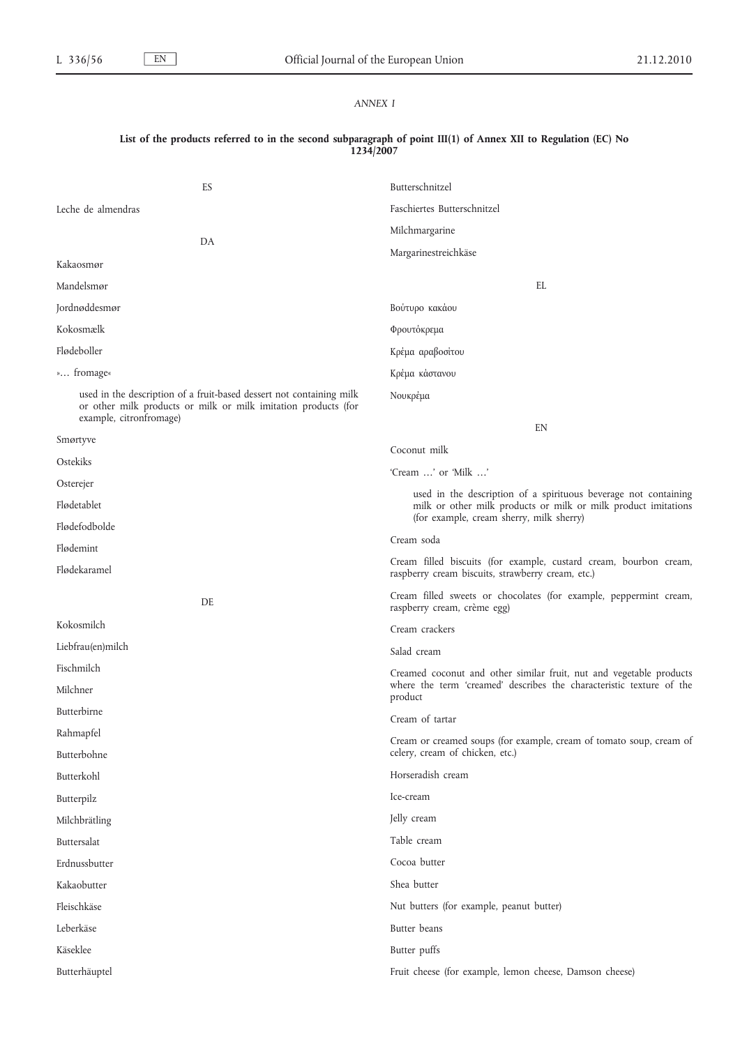# *ANNEX I*

### **List of the products referred to in the second subparagraph of point III(1) of Annex XII to Regulation (EC) No 1234/2007**

| ES                                                                                                                                                                | Butterschnitzel                                                                                                                                                               |  |
|-------------------------------------------------------------------------------------------------------------------------------------------------------------------|-------------------------------------------------------------------------------------------------------------------------------------------------------------------------------|--|
| Leche de almendras                                                                                                                                                | Faschiertes Butterschnitzel                                                                                                                                                   |  |
|                                                                                                                                                                   | Milchmargarine                                                                                                                                                                |  |
| DA                                                                                                                                                                | Margarinestreichkäse                                                                                                                                                          |  |
| Kakaosmør                                                                                                                                                         |                                                                                                                                                                               |  |
| Mandelsmør                                                                                                                                                        | EL                                                                                                                                                                            |  |
| Jordnøddesmør                                                                                                                                                     | Βούτυρο κακάου                                                                                                                                                                |  |
| Kokosmælk                                                                                                                                                         | Φρουτόκρεμα                                                                                                                                                                   |  |
| Flødeboller                                                                                                                                                       | Κρέμα αραβοσίτου                                                                                                                                                              |  |
| » fromage«                                                                                                                                                        | Κρέμα κάστανου                                                                                                                                                                |  |
| used in the description of a fruit-based dessert not containing milk<br>or other milk products or milk or milk imitation products (for<br>example, citronfromage) | Νουκρέμα                                                                                                                                                                      |  |
| Smørtyve                                                                                                                                                          | EN                                                                                                                                                                            |  |
| Ostekiks                                                                                                                                                          | Coconut milk                                                                                                                                                                  |  |
| Osterejer                                                                                                                                                         | 'Cream ' or 'Milk '                                                                                                                                                           |  |
| Flødetablet                                                                                                                                                       | used in the description of a spirituous beverage not containing<br>milk or other milk products or milk or milk product imitations<br>(for example, cream sherry, milk sherry) |  |
| Flødefodbolde                                                                                                                                                     | Cream soda                                                                                                                                                                    |  |
| Flødemint                                                                                                                                                         |                                                                                                                                                                               |  |
| Flødekaramel                                                                                                                                                      | Cream filled biscuits (for example, custard cream, bourbon cream,<br>raspberry cream biscuits, strawberry cream, etc.)                                                        |  |
| DE                                                                                                                                                                | Cream filled sweets or chocolates (for example, peppermint cream,<br>raspberry cream, crème egg)                                                                              |  |
| Kokosmilch                                                                                                                                                        | Cream crackers                                                                                                                                                                |  |
| Liebfrau(en)milch                                                                                                                                                 | Salad cream                                                                                                                                                                   |  |
| Fischmilch                                                                                                                                                        | Creamed coconut and other similar fruit, nut and vegetable products                                                                                                           |  |
| Milchner                                                                                                                                                          | where the term 'creamed' describes the characteristic texture of the<br>product                                                                                               |  |
| Butterbirne                                                                                                                                                       | Cream of tartar                                                                                                                                                               |  |
| Rahmapfel                                                                                                                                                         | Cream or creamed soups (for example, cream of tomato soup, cream of                                                                                                           |  |
| Butterbohne                                                                                                                                                       | celery, cream of chicken, etc.)                                                                                                                                               |  |
| Butterkohl                                                                                                                                                        | Horseradish cream                                                                                                                                                             |  |
| Butterpilz                                                                                                                                                        | Ice-cream                                                                                                                                                                     |  |
| Milchbrätling                                                                                                                                                     | Jelly cream                                                                                                                                                                   |  |
| Buttersalat                                                                                                                                                       | Table cream                                                                                                                                                                   |  |
| Erdnussbutter                                                                                                                                                     | Cocoa butter                                                                                                                                                                  |  |
| Kakaobutter                                                                                                                                                       | Shea butter                                                                                                                                                                   |  |
| Fleischkäse                                                                                                                                                       | Nut butters (for example, peanut butter)                                                                                                                                      |  |
| Leberkäse                                                                                                                                                         | Butter beans                                                                                                                                                                  |  |
| Käseklee                                                                                                                                                          | Butter puffs                                                                                                                                                                  |  |
| Butterhäuptel                                                                                                                                                     | Fruit cheese (for example, lemon cheese, Damson cheese)                                                                                                                       |  |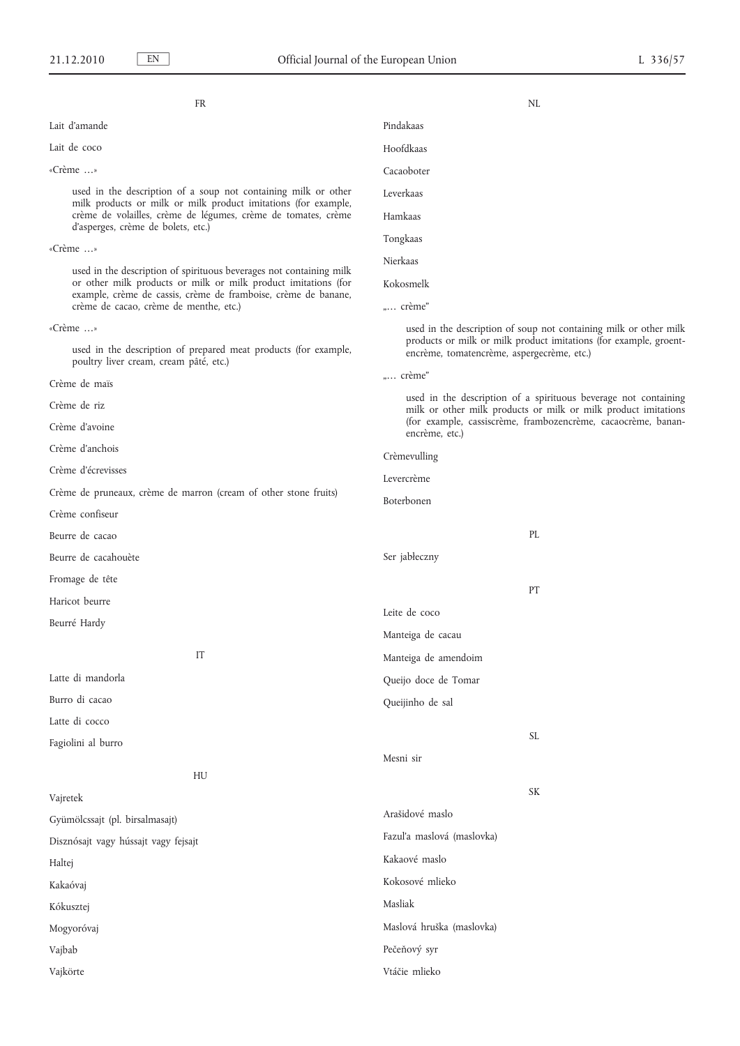FR

Lait d'amande

Lait de coco

#### «Crème …»

used in the description of a soup not containing milk or other milk products or milk or milk product imitations (for example, crème de volailles, crème de légumes, crème de tomates, crème d'asperges, crème de bolets, etc.)

«Crème …»

used in the description of spirituous beverages not containing milk or other milk products or milk or milk product imitations (for example, crème de cassis, crème de framboise, crème de banane, crème de cacao, crème de menthe, etc.)

«Crème …»

used in the description of prepared meat products (for example, poultry liver cream, cream pâté, etc.)

Crème de maïs

Crème de riz

Crème d'avoine

Crème d'anchois

Crème d'écrevisses

Crème de pruneaux, crème de marron (cream of other stone fruits)

Crème confiseur

Beurre de cacao

Beurre de cacahouète

Fromage de tête

Haricot beurre

Beurré Hardy

IT

Latte di mandorla

Burro di cacao

Latte di cocco

Fagiolini al burro

HU

Vajretek

Gyümölcssajt (pl. birsalmasajt)

Disznósajt vagy hússajt vagy fejsajt

Haltej

Kakaóvaj

Kókusztej

Mogyoróvaj

Vajbab

Vajkörte

- Hoofdkaas Cacaoboter
- Leverkaas
- Hamkaas
- Tongkaas
- Nierkaas

Kokosmelk

"... crème"

used in the description of soup not containing milk or other milk products or milk or milk product imitations (for example, groentencrème, tomatencrème, aspergecrème, etc.)

NL

"... crème"

used in the description of a spirituous beverage not containing milk or other milk products or milk or milk product imitations (for example, cassiscrème, frambozencrème, cacaocrème, bananencrème, etc.)

Crèmevulling Levercrème Boterbonen PL Ser jabłeczny PT Leite de coco Manteiga de cacau Manteiga de amendoim Queijo doce de Tomar Queijinho de sal SL Mesni sir SK Arašidové maslo Fazul'a maslová (maslovka) Kakaové maslo Kokosové mlieko Masliak Maslová hruška (maslovka)

Pečeňový syr

#### Vtáčie mlieko

Pindakaas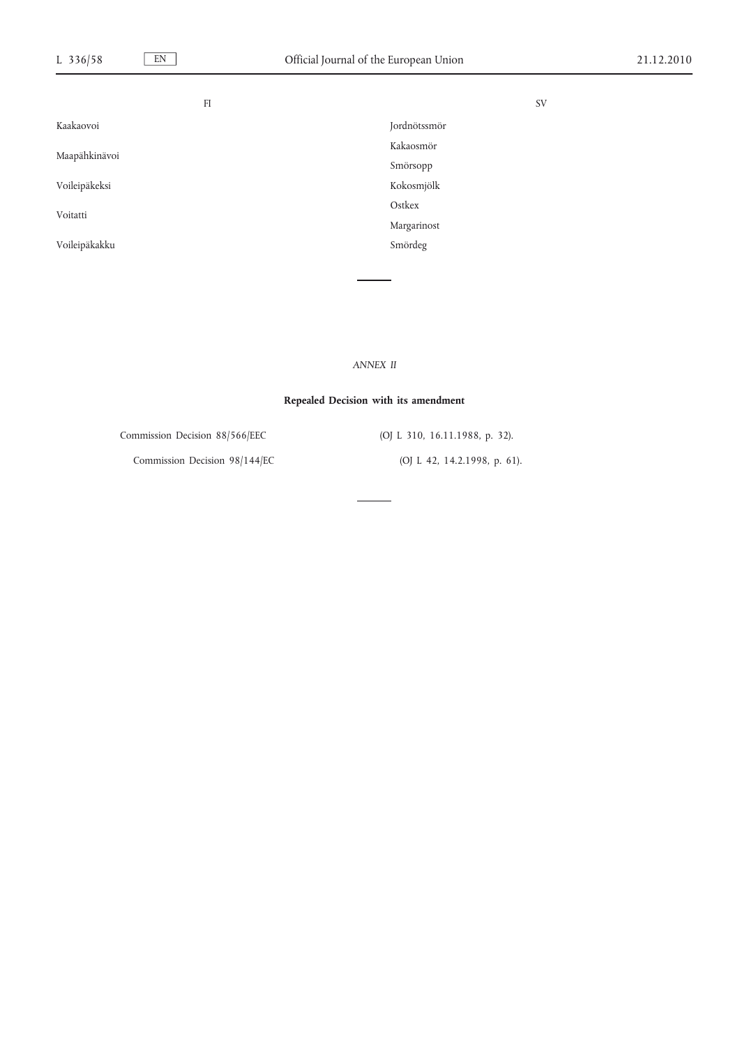| FI            |              | <b>SV</b> |
|---------------|--------------|-----------|
| Kaakaovoi     | Jordnötssmör |           |
| Maapähkinävoi | Kakaosmör    |           |
|               | Smörsopp     |           |
| Voileipäkeksi | Kokosmjölk   |           |
| Voitatti      | Ostkex       |           |
|               | Margarinost  |           |
| Voileipäkakku | Smördeg      |           |
|               |              |           |

*ANNEX II*

## **Repealed Decision with its amendment**

Commission Decision 88/566/EEC (OJ L 310, 16.11.1988, p. 32).

Commission Decision 98/144/EC (OJ L 42, 14.2.1998, p. 61).